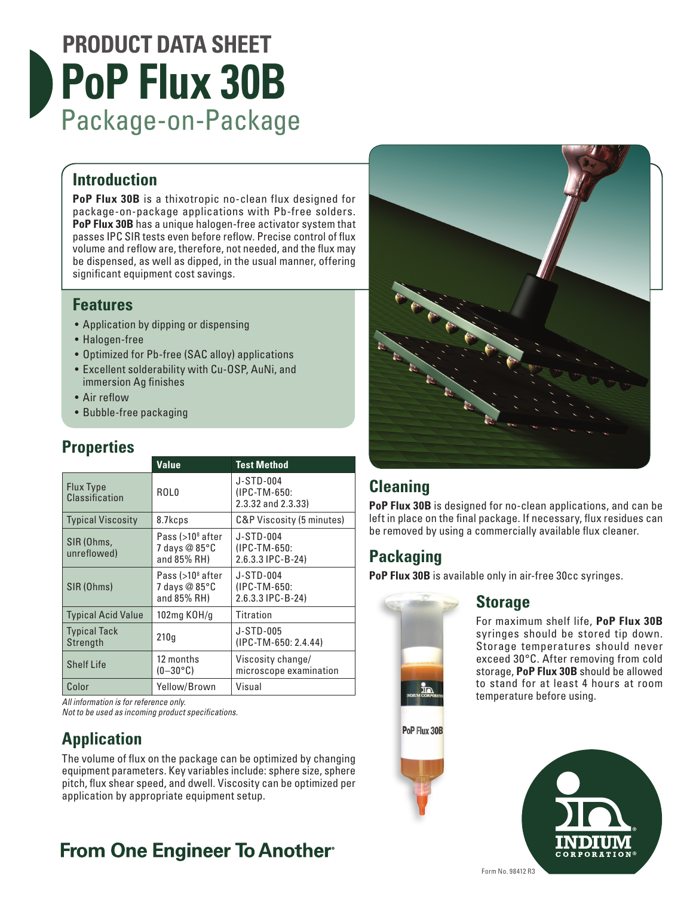# **PRODUCT DATA SHEET PoP Flux 30B** Package-on-Package

### **Introduction**

**PoP Flux 30B** is a thixotropic no-clean flux designed for package-on-package applications with Pb-free solders. **PoP Flux 30B** has a unique halogen-free activator system that passes IPC SIR tests even before reflow. Precise control of flux volume and reflow are, therefore, not needed, and the flux may be dispensed, as well as dipped, in the usual manner, offering significant equipment cost savings.

#### **Features**

- Application by dipping or dispensing
- Halogen-free
- Optimized for Pb-free (SAC alloy) applications
- Excellent solderability with Cu-OSP, AuNi, and immersion Ag finishes
- Air reflow
- Bubble-free packaging

### **Properties**

|                                 | <b>Value</b>                                     | <b>Test Method</b>                              |
|---------------------------------|--------------------------------------------------|-------------------------------------------------|
| Flux Type<br>Classification     | ROL0                                             | J-STD-004<br>(IPC-TM-650:<br>2.3.32 and 2.3.33) |
| <b>Typical Viscosity</b>        | 8.7kcps                                          | C&P Viscosity (5 minutes)                       |
| SIR (Ohms,<br>unreflowed)       | Pass (>10ª after<br>7 days @ 85°C<br>and 85% RH) | J-STD-004<br>(IPC-TM-650:<br>2.6.3.3 IPC-B-24)  |
| SIR (Ohms)                      | Pass (>10ª after<br>7 days @ 85°C<br>and 85% RH) | J-STD-004<br>(IPC-TM-650:<br>2.6.3.3 IPC-B-24)  |
| <b>Typical Acid Value</b>       | 102mg KOH/g                                      | <b>Titration</b>                                |
| <b>Typical Tack</b><br>Strength | 210q                                             | J-STD-005<br>(IPC-TM-650: 2.4.44)               |
| <b>Shelf Life</b>               | 12 months<br>$(0-30\degree \text{C})$            | Viscosity change/<br>microscope examination     |
| Color                           | Yellow/Brown                                     | Visual                                          |

*All information is for reference only.*

*Not to be used as incoming product specifications.*

# **Application**

The volume of flux on the package can be optimized by changing equipment parameters. Key variables include: sphere size, sphere pitch, flux shear speed, and dwell. Viscosity can be optimized per application by appropriate equipment setup.

# **From One Engineer To Another**



# **Cleaning**

**PoP Flux 30B** is designed for no-clean applications, and can be left in place on the final package. If necessary, flux residues can be removed by using a commercially available flux cleaner.

# **Packaging**

**PoP Flux 30B** is available only in air-free 30cc syringes.



#### **Storage**

For maximum shelf life, **PoP Flux 30B** syringes should be stored tip down. Storage temperatures should never exceed 30°C. After removing from cold storage, **PoP Flux 30B** should be allowed to stand for at least 4 hours at room temperature before using.

PoP Flux 30B